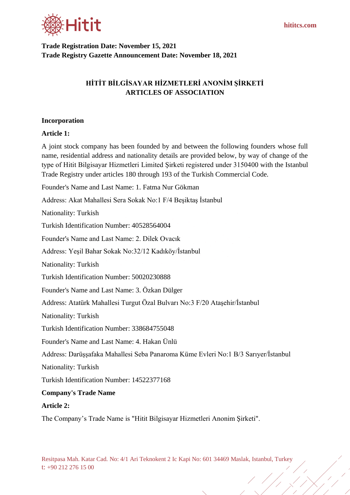

**Trade Registration Date: November 15, 2021 Trade Registry Gazette Announcement Date: November 18, 2021**

# **HİTİT BİLGİSAYAR HİZMETLERİ ANONİM ŞİRKETİ ARTICLES OF ASSOCIATION**

### **Incorporation**

### **Article 1:**

A joint stock company has been founded by and between the following founders whose full name, residential address and nationality details are provided below, by way of change of the type of Hitit Bilgisayar Hizmetleri Limited Şirketi registered under 3150400 with the Istanbul Trade Registry under articles 180 through 193 of the Turkish Commercial Code.

Founder's Name and Last Name: 1. Fatma Nur Gökman

Address: Akat Mahallesi Sera Sokak No:1 F/4 Beşiktaş İstanbul

Nationality: Turkish

Turkish Identification Number: 40528564004

Founder's Name and Last Name: 2. Dilek Ovacık

Address: Yeşil Bahar Sokak No:32/12 Kadıköy/İstanbul

Nationality: Turkish

Turkish Identification Number: 50020230888

Founder's Name and Last Name: 3. Özkan Dülger

Address: Atatürk Mahallesi Turgut Özal Bulvarı No:3 F/20 Ataşehir/İstanbul

Nationality: Turkish

Turkish Identification Number: 338684755048

Founder's Name and Last Name: 4. Hakan Ünlü

Address: Darüşşafaka Mahallesi Seba Panaroma Küme Evleri No:1 B/3 Sarıyer/İstanbul

Nationality: Turkish

Turkish Identification Number: 14522377168

## **Company's Trade Name**

#### **Article 2:**

The Company's Trade Name is "Hitit Bilgisayar Hizmetleri Anonim Şirketi".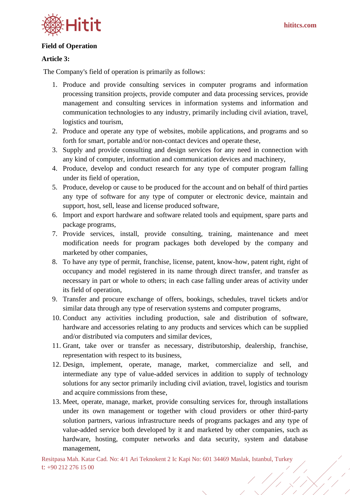

### **Field of Operation**

### **Article 3:**

The Company's field of operation is primarily as follows:

- 1. Produce and provide consulting services in computer programs and information processing transition projects, provide computer and data processing services, provide management and consulting services in information systems and information and communication technologies to any industry, primarily including civil aviation, travel, logistics and tourism,
- 2. Produce and operate any type of websites, mobile applications, and programs and so forth for smart, portable and/or non-contact devices and operate these,
- 3. Supply and provide consulting and design services for any need in connection with any kind of computer, information and communication devices and machinery,
- 4. Produce, develop and conduct research for any type of computer program falling under its field of operation,
- 5. Produce, develop or cause to be produced for the account and on behalf of third parties any type of software for any type of computer or electronic device, maintain and support, host, sell, lease and license produced software,
- 6. Import and export hardware and software related tools and equipment, spare parts and package programs,
- 7. Provide services, install, provide consulting, training, maintenance and meet modification needs for program packages both developed by the company and marketed by other companies,
- 8. To have any type of permit, franchise, license, patent, know-how, patent right, right of occupancy and model registered in its name through direct transfer, and transfer as necessary in part or whole to others; in each case falling under areas of activity under its field of operation,
- 9. Transfer and procure exchange of offers, bookings, schedules, travel tickets and/or similar data through any type of reservation systems and computer programs,
- 10. Conduct any activities including production, sale and distribution of software, hardware and accessories relating to any products and services which can be supplied and/or distributed via computers and similar devices,
- 11. Grant, take over or transfer as necessary, distributorship, dealership, franchise, representation with respect to its business,
- 12. Design, implement, operate, manage, market, commercialize and sell, and intermediate any type of value-added services in addition to supply of technology solutions for any sector primarily including civil aviation, travel, logistics and tourism and acquire commissions from these,
- 13. Meet, operate, manage, market, provide consulting services for, through installations under its own management or together with cloud providers or other third-party solution partners, various infrastructure needs of programs packages and any type of value-added service both developed by it and marketed by other companies, such as hardware, hosting, computer networks and data security, system and database management,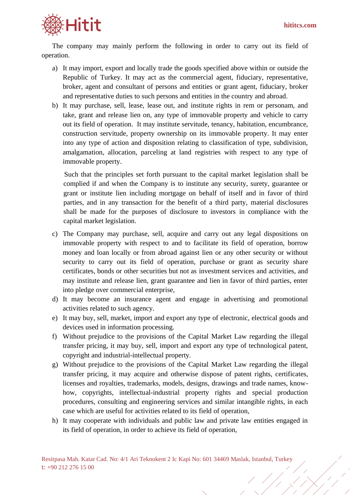

The company may mainly perform the following in order to carry out its field of operation.

- a) It may import, export and locally trade the goods specified above within or outside the Republic of Turkey. It may act as the commercial agent, fiduciary, representative, broker, agent and consultant of persons and entities or grant agent, fiduciary, broker and representative duties to such persons and entities in the country and abroad.
- b) It may purchase, sell, lease, lease out, and institute rights in rem or personam, and take, grant and release lien on, any type of immovable property and vehicle to carry out its field of operation. It may institute servitude, tenancy, habitation, encumbrance, construction servitude, property ownership on its immovable property. It may enter into any type of action and disposition relating to classification of type, subdivision, amalgamation, allocation, parceling at land registries with respect to any type of immovable property.

Such that the principles set forth pursuant to the capital market legislation shall be complied if and when the Company is to institute any security, surety, guarantee or grant or institute lien including mortgage on behalf of itself and in favor of third parties, and in any transaction for the benefit of a third party, material disclosures shall be made for the purposes of disclosure to investors in compliance with the capital market legislation.

- c) The Company may purchase, sell, acquire and carry out any legal dispositions on immovable property with respect to and to facilitate its field of operation, borrow money and loan locally or from abroad against lien or any other security or without security to carry out its field of operation, purchase or grant as security share certificates, bonds or other securities but not as investment services and activities, and may institute and release lien, grant guarantee and lien in favor of third parties, enter into pledge over commercial enterprise,
- d) It may become an insurance agent and engage in advertising and promotional activities related to such agency.
- e) It may buy, sell, market, import and export any type of electronic, electrical goods and devices used in information processing.
- f) Without prejudice to the provisions of the Capital Market Law regarding the illegal transfer pricing, it may buy, sell, import and export any type of technological patent, copyright and industrial-intellectual property.
- g) Without prejudice to the provisions of the Capital Market Law regarding the illegal transfer pricing, it may acquire and otherwise dispose of patent rights, certificates, licenses and royalties, trademarks, models, designs, drawings and trade names, knowhow, copyrights, intellectual-industrial property rights and special production procedures, consulting and engineering services and similar intangible rights, in each case which are useful for activities related to its field of operation,
- h) It may cooperate with individuals and public law and private law entities engaged in its field of operation, in order to achieve its field of operation,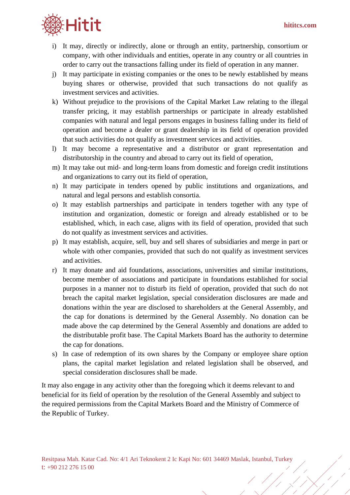

- i) It may, directly or indirectly, alone or through an entity, partnership, consortium or company, with other individuals and entities, operate in any country or all countries in order to carry out the transactions falling under its field of operation in any manner.
- j) It may participate in existing companies or the ones to be newly established by means buying shares or otherwise, provided that such transactions do not qualify as investment services and activities.
- k) Without prejudice to the provisions of the Capital Market Law relating to the illegal transfer pricing, it may establish partnerships or participate in already established companies with natural and legal persons engages in business falling under its field of operation and become a dealer or grant dealership in its field of operation provided that such activities do not qualify as investment services and activities.
- l) It may become a representative and a distributor or grant representation and distributorship in the country and abroad to carry out its field of operation,
- m) It may take out mid- and long-term loans from domestic and foreign credit institutions and organizations to carry out its field of operation,
- n) It may participate in tenders opened by public institutions and organizations, and natural and legal persons and establish consortia.
- o) It may establish partnerships and participate in tenders together with any type of institution and organization, domestic or foreign and already established or to be established, which, in each case, aligns with its field of operation, provided that such do not qualify as investment services and activities.
- p) It may establish, acquire, sell, buy and sell shares of subsidiaries and merge in part or whole with other companies, provided that such do not qualify as investment services and activities.
- r) It may donate and aid foundations, associations, universities and similar institutions, become member of associations and participate in foundations established for social purposes in a manner not to disturb its field of operation, provided that such do not breach the capital market legislation, special consideration disclosures are made and donations within the year are disclosed to shareholders at the General Assembly, and the cap for donations is determined by the General Assembly. No donation can be made above the cap determined by the General Assembly and donations are added to the distributable profit base. The Capital Markets Board has the authority to determine the cap for donations.
- s) In case of redemption of its own shares by the Company or employee share option plans, the capital market legislation and related legislation shall be observed, and special consideration disclosures shall be made.

It may also engage in any activity other than the foregoing which it deems relevant to and beneficial for its field of operation by the resolution of the General Assembly and subject to the required permissions from the Capital Markets Board and the Ministry of Commerce of the Republic of Turkey.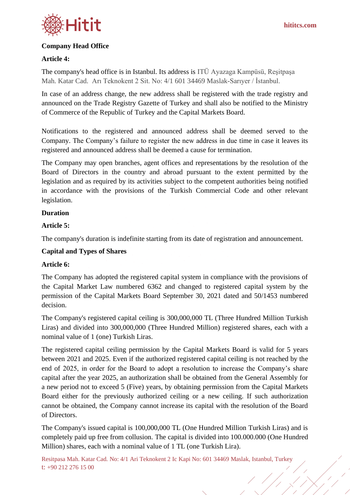

## **Company Head Office**

### **Article 4:**

The company's head office is in Istanbul. Its address is ITÜ Ayazaga Kampüsü, Reşitpaşa Mah. Katar Cad. Arı Teknokent 2 Sit. No: 4/1 601 34469 Maslak-Sarıyer / İstanbul.

In case of an address change, the new address shall be registered with the trade registry and announced on the Trade Registry Gazette of Turkey and shall also be notified to the Ministry of Commerce of the Republic of Turkey and the Capital Markets Board.

Notifications to the registered and announced address shall be deemed served to the Company. The Company's failure to register the new address in due time in case it leaves its registered and announced address shall be deemed a cause for termination.

The Company may open branches, agent offices and representations by the resolution of the Board of Directors in the country and abroad pursuant to the extent permitted by the legislation and as required by its activities subject to the competent authorities being notified in accordance with the provisions of the Turkish Commercial Code and other relevant legislation.

### **Duration**

### **Article 5:**

The company's duration is indefinite starting from its date of registration and announcement.

## **Capital and Types of Shares**

## **Article 6:**

The Company has adopted the registered capital system in compliance with the provisions of the Capital Market Law numbered 6362 and changed to registered capital system by the permission of the Capital Markets Board September 30, 2021 dated and 50/1453 numbered decision.

The Company's registered capital ceiling is 300,000,000 TL (Three Hundred Million Turkish Liras) and divided into 300,000,000 (Three Hundred Million) registered shares, each with a nominal value of 1 (one) Turkish Liras.

The registered capital ceiling permission by the Capital Markets Board is valid for 5 years between 2021 and 2025. Even if the authorized registered capital ceiling is not reached by the end of 2025, in order for the Board to adopt a resolution to increase the Company's share capital after the year 2025, an authorization shall be obtained from the General Assembly for a new period not to exceed 5 (Five) years, by obtaining permission from the Capital Markets Board either for the previously authorized ceiling or a new ceiling. If such authorization cannot be obtained, the Company cannot increase its capital with the resolution of the Board of Directors.

The Company's issued capital is 100,000,000 TL (One Hundred Million Turkish Liras) and is completely paid up free from collusion. The capital is divided into 100.000.000 (One Hundred Million) shares, each with a nominal value of 1 TL (one Turkish Lira).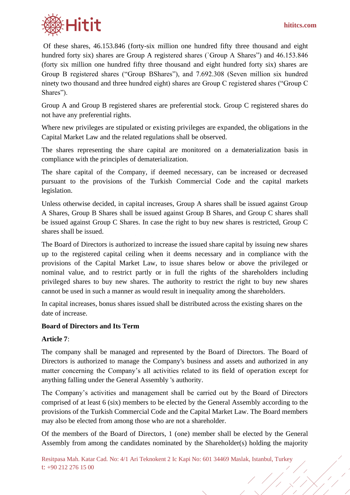

Of these shares, 46.153.846 (forty-six million one hundred fifty three thousand and eight hundred forty six) shares are Group A registered shares (`Group A Shares'') and 46.153.846 (forty six million one hundred fifty three thousand and eight hundred forty six) shares are Group B registered shares ("Group BShares"), and 7.692.308 (Seven million six hundred ninety two thousand and three hundred eight) shares are Group C registered shares ("Group C Shares").

Group A and Group B registered shares are preferential stock. Group C registered shares do not have any preferential rights.

Where new privileges are stipulated or existing privileges are expanded, the obligations in the Capital Market Law and the related regulations shall be observed.

The shares representing the share capital are monitored on a dematerialization basis in compliance with the principles of dematerialization.

The share capital of the Company, if deemed necessary, can be increased or decreased pursuant to the provisions of the Turkish Commercial Code and the capital markets legislation.

Unless otherwise decided, in capital increases, Group A shares shall be issued against Group A Shares, Group B Shares shall be issued against Group B Shares, and Group C shares shall be issued against Group C Shares. In case the right to buy new shares is restricted, Group C shares shall be issued.

The Board of Directors is authorized to increase the issued share capital by issuing new shares up to the registered capital ceiling when it deems necessary and in compliance with the provisions of the Capital Market Law, to issue shares below or above the privileged or nominal value, and to restrict partly or in full the rights of the shareholders including privileged shares to buy new shares. The authority to restrict the right to buy new shares cannot be used in such a manner as would result in inequality among the shareholders.

In capital increases, bonus shares issued shall be distributed across the existing shares on the date of increase.

## **Board of Directors and Its Term**

## **Article 7**:

The company shall be managed and represented by the Board of Directors. The Board of Directors is authorized to manage the Company's business and assets and authorized in any matter concerning the Company's all activities related to its field of operation except for anything falling under the General Assembly 's authority.

The Company's activities and management shall be carried out by the Board of Directors comprised of at least 6 (six) members to be elected by the General Assembly according to the provisions of the Turkish Commercial Code and the Capital Market Law. The Board members may also be elected from among those who are not a shareholder.

Of the members of the Board of Directors, 1 (one) member shall be elected by the General Assembly from among the candidates nominated by the Shareholder(s) holding the majority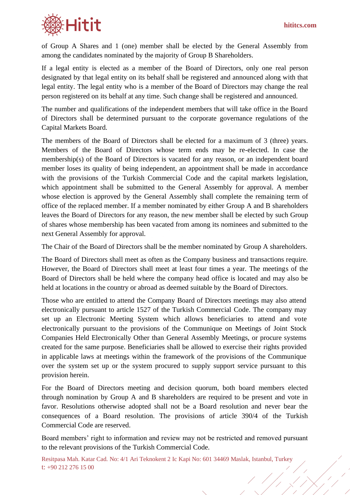

of Group A Shares and 1 (one) member shall be elected by the General Assembly from among the candidates nominated by the majority of Group B Shareholders.

If a legal entity is elected as a member of the Board of Directors, only one real person designated by that legal entity on its behalf shall be registered and announced along with that legal entity. The legal entity who is a member of the Board of Directors may change the real person registered on its behalf at any time. Such change shall be registered and announced.

The number and qualifications of the independent members that will take office in the Board of Directors shall be determined pursuant to the corporate governance regulations of the Capital Markets Board.

The members of the Board of Directors shall be elected for a maximum of 3 (three) years. Members of the Board of Directors whose term ends may be re-elected. In case the membership(s) of the Board of Directors is vacated for any reason, or an independent board member loses its quality of being independent, an appointment shall be made in accordance with the provisions of the Turkish Commercial Code and the capital markets legislation, which appointment shall be submitted to the General Assembly for approval. A member whose election is approved by the General Assembly shall complete the remaining term of office of the replaced member. If a member nominated by either Group A and B shareholders leaves the Board of Directors for any reason, the new member shall be elected by such Group of shares whose membership has been vacated from among its nominees and submitted to the next General Assembly for approval.

The Chair of the Board of Directors shall be the member nominated by Group A shareholders.

The Board of Directors shall meet as often as the Company business and transactions require. However, the Board of Directors shall meet at least four times a year. The meetings of the Board of Directors shall be held where the company head office is located and may also be held at locations in the country or abroad as deemed suitable by the Board of Directors.

Those who are entitled to attend the Company Board of Directors meetings may also attend electronically pursuant to article 1527 of the Turkish Commercial Code. The company may set up an Electronic Meeting System which allows beneficiaries to attend and vote electronically pursuant to the provisions of the Communique on Meetings of Joint Stock Companies Held Electronically Other than General Assembly Meetings, or procure systems created for the same purpose. Beneficiaries shall be allowed to exercise their rights provided in applicable laws at meetings within the framework of the provisions of the Communique over the system set up or the system procured to supply support service pursuant to this provision herein.

For the Board of Directors meeting and decision quorum, both board members elected through nomination by Group A and B shareholders are required to be present and vote in favor. Resolutions otherwise adopted shall not be a Board resolution and never bear the consequences of a Board resolution. The provisions of article 390/4 of the Turkish Commercial Code are reserved.

Board members' right to information and review may not be restricted and removed pursuant to the relevant provisions of the Turkish Commercial Code.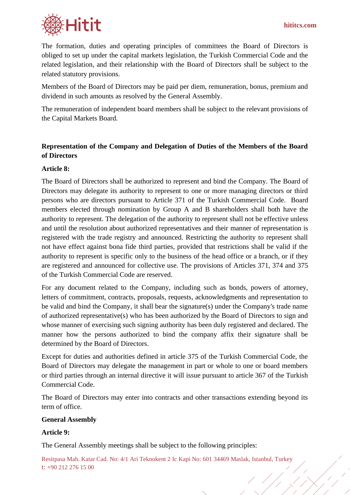

The formation, duties and operating principles of committees the Board of Directors is obliged to set up under the capital markets legislation, the Turkish Commercial Code and the related legislation, and their relationship with the Board of Directors shall be subject to the related statutory provisions.

Members of the Board of Directors may be paid per diem, remuneration, bonus, premium and dividend in such amounts as resolved by the General Assembly.

The remuneration of independent board members shall be subject to the relevant provisions of the Capital Markets Board.

# **Representation of the Company and Delegation of Duties of the Members of the Board of Directors**

### **Article 8:**

The Board of Directors shall be authorized to represent and bind the Company. The Board of Directors may delegate its authority to represent to one or more managing directors or third persons who are directors pursuant to Article 371 of the Turkish Commercial Code. Board members elected through nomination by Group A and B shareholders shall both have the authority to represent. The delegation of the authority to represent shall not be effective unless and until the resolution about authorized representatives and their manner of representation is registered with the trade registry and announced. Restricting the authority to represent shall not have effect against bona fide third parties, provided that restrictions shall be valid if the authority to represent is specific only to the business of the head office or a branch, or if they are registered and announced for collective use. The provisions of Articles 371, 374 and 375 of the Turkish Commercial Code are reserved.

For any document related to the Company, including such as bonds, powers of attorney, letters of commitment, contracts, proposals, requests, acknowledgments and representation to be valid and bind the Company, it shall bear the signature(s) under the Company's trade name of authorized representative(s) who has been authorized by the Board of Directors to sign and whose manner of exercising such signing authority has been duly registered and declared. The manner how the persons authorized to bind the company affix their signature shall be determined by the Board of Directors.

Except for duties and authorities defined in article 375 of the Turkish Commercial Code, the Board of Directors may delegate the management in part or whole to one or board members or third parties through an internal directive it will issue pursuant to article 367 of the Turkish Commercial Code.

The Board of Directors may enter into contracts and other transactions extending beyond its term of office.

#### **General Assembly**

## **Article 9:**

The General Assembly meetings shall be subject to the following principles: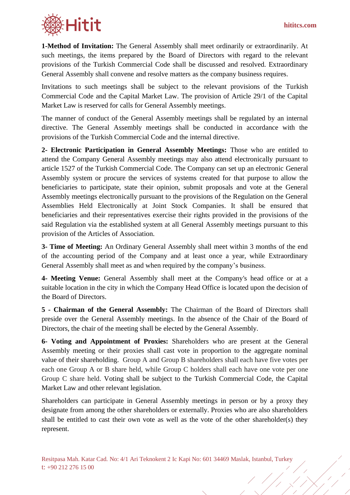

**1-Method of Invitation:** The General Assembly shall meet ordinarily or extraordinarily. At such meetings, the items prepared by the Board of Directors with regard to the relevant provisions of the Turkish Commercial Code shall be discussed and resolved. Extraordinary General Assembly shall convene and resolve matters as the company business requires.

Invitations to such meetings shall be subject to the relevant provisions of the Turkish Commercial Code and the Capital Market Law. The provision of Article 29/1 of the Capital Market Law is reserved for calls for General Assembly meetings.

The manner of conduct of the General Assembly meetings shall be regulated by an internal directive. The General Assembly meetings shall be conducted in accordance with the provisions of the Turkish Commercial Code and the internal directive.

**2- Electronic Participation in General Assembly Meetings:** Those who are entitled to attend the Company General Assembly meetings may also attend electronically pursuant to article 1527 of the Turkish Commercial Code. The Company can set up an electronic General Assembly system or procure the services of systems created for that purpose to allow the beneficiaries to participate, state their opinion, submit proposals and vote at the General Assembly meetings electronically pursuant to the provisions of the Regulation on the General Assemblies Held Electronically at Joint Stock Companies. It shall be ensured that beneficiaries and their representatives exercise their rights provided in the provisions of the said Regulation via the established system at all General Assembly meetings pursuant to this provision of the Articles of Association.

**3- Time of Meeting:** An Ordinary General Assembly shall meet within 3 months of the end of the accounting period of the Company and at least once a year, while Extraordinary General Assembly shall meet as and when required by the company's business.

**4- Meeting Venue:** General Assembly shall meet at the Company's head office or at a suitable location in the city in which the Company Head Office is located upon the decision of the Board of Directors.

**5 - Chairman of the General Assembly:** The Chairman of the Board of Directors shall preside over the General Assembly meetings. In the absence of the Chair of the Board of Directors, the chair of the meeting shall be elected by the General Assembly.

**6- Voting and Appointment of Proxies:** Shareholders who are present at the General Assembly meeting or their proxies shall cast vote in proportion to the aggregate nominal value of their shareholding. Group A and Group B shareholders shall each have five votes per each one Group A or B share held, while Group C holders shall each have one vote per one Group C share held. Voting shall be subject to the Turkish Commercial Code, the Capital Market Law and other relevant legislation.

Shareholders can participate in General Assembly meetings in person or by a proxy they designate from among the other shareholders or externally. Proxies who are also shareholders shall be entitled to cast their own vote as well as the vote of the other shareholder(s) they represent.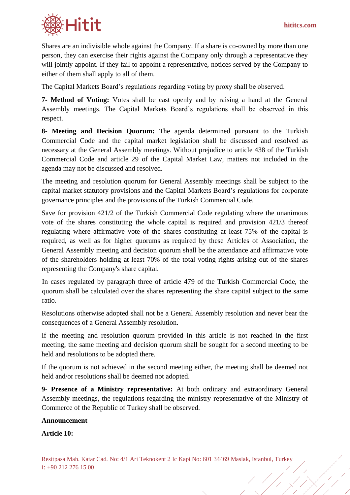

Shares are an indivisible whole against the Company. If a share is co-owned by more than one person, they can exercise their rights against the Company only through a representative they will jointly appoint. If they fail to appoint a representative, notices served by the Company to either of them shall apply to all of them.

The Capital Markets Board's regulations regarding voting by proxy shall be observed.

**7- Method of Voting:** Votes shall be cast openly and by raising a hand at the General Assembly meetings. The Capital Markets Board's regulations shall be observed in this respect.

**8- Meeting and Decision Quorum:** The agenda determined pursuant to the Turkish Commercial Code and the capital market legislation shall be discussed and resolved as necessary at the General Assembly meetings. Without prejudice to article 438 of the Turkish Commercial Code and article 29 of the Capital Market Law, matters not included in the agenda may not be discussed and resolved.

The meeting and resolution quorum for General Assembly meetings shall be subject to the capital market statutory provisions and the Capital Markets Board's regulations for corporate governance principles and the provisions of the Turkish Commercial Code.

Save for provision 421/2 of the Turkish Commercial Code regulating where the unanimous vote of the shares constituting the whole capital is required and provision 421/3 thereof regulating where affirmative vote of the shares constituting at least 75% of the capital is required, as well as for higher quorums as required by these Articles of Association, the General Assembly meeting and decision quorum shall be the attendance and affirmative vote of the shareholders holding at least 70% of the total voting rights arising out of the shares representing the Company's share capital.

In cases regulated by paragraph three of article 479 of the Turkish Commercial Code, the quorum shall be calculated over the shares representing the share capital subject to the same ratio.

Resolutions otherwise adopted shall not be a General Assembly resolution and never bear the consequences of a General Assembly resolution.

If the meeting and resolution quorum provided in this article is not reached in the first meeting, the same meeting and decision quorum shall be sought for a second meeting to be held and resolutions to be adopted there.

If the quorum is not achieved in the second meeting either, the meeting shall be deemed not held and/or resolutions shall be deemed not adopted.

**9- Presence of a Ministry representative:** At both ordinary and extraordinary General Assembly meetings, the regulations regarding the ministry representative of the Ministry of Commerce of the Republic of Turkey shall be observed.

## **Announcement**

**Article 10:**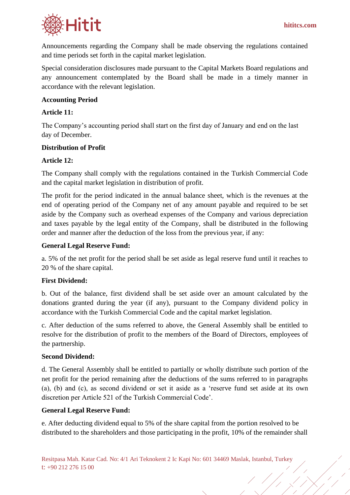

Announcements regarding the Company shall be made observing the regulations contained and time periods set forth in the capital market legislation.

Special consideration disclosures made pursuant to the Capital Markets Board regulations and any announcement contemplated by the Board shall be made in a timely manner in accordance with the relevant legislation.

## **Accounting Period**

### **Article 11:**

The Company's accounting period shall start on the first day of January and end on the last day of December.

### **Distribution of Profit**

### **Article 12:**

The Company shall comply with the regulations contained in the Turkish Commercial Code and the capital market legislation in distribution of profit.

The profit for the period indicated in the annual balance sheet, which is the revenues at the end of operating period of the Company net of any amount payable and required to be set aside by the Company such as overhead expenses of the Company and various depreciation and taxes payable by the legal entity of the Company, shall be distributed in the following order and manner after the deduction of the loss from the previous year, if any:

#### **General Legal Reserve Fund:**

a. 5% of the net profit for the period shall be set aside as legal reserve fund until it reaches to 20 % of the share capital.

#### **First Dividend:**

b. Out of the balance, first dividend shall be set aside over an amount calculated by the donations granted during the year (if any), pursuant to the Company dividend policy in accordance with the Turkish Commercial Code and the capital market legislation.

c. After deduction of the sums referred to above, the General Assembly shall be entitled to resolve for the distribution of profit to the members of the Board of Directors, employees of the partnership.

#### **Second Dividend:**

d. The General Assembly shall be entitled to partially or wholly distribute such portion of the net profit for the period remaining after the deductions of the sums referred to in paragraphs (a), (b) and (c), as second dividend or set it aside as a 'reserve fund set aside at its own discretion per Article 521 of the Turkish Commercial Code'.

#### **General Legal Reserve Fund:**

e. After deducting dividend equal to 5% of the share capital from the portion resolved to be distributed to the shareholders and those participating in the profit, 10% of the remainder shall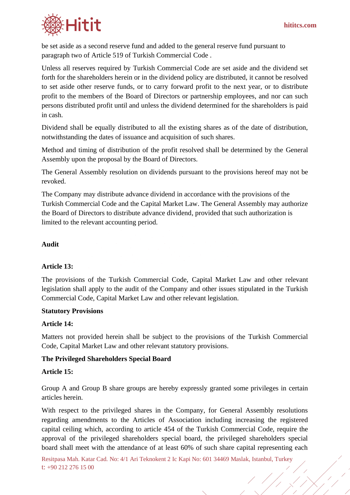

be set aside as a second reserve fund and added to the general reserve fund pursuant to paragraph two of Article 519 of Turkish Commercial Code .

Unless all reserves required by Turkish Commercial Code are set aside and the dividend set forth for the shareholders herein or in the dividend policy are distributed, it cannot be resolved to set aside other reserve funds, or to carry forward profit to the next year, or to distribute profit to the members of the Board of Directors or partnership employees, and nor can such persons distributed profit until and unless the dividend determined for the shareholders is paid in cash.

Dividend shall be equally distributed to all the existing shares as of the date of distribution, notwithstanding the dates of issuance and acquisition of such shares.

Method and timing of distribution of the profit resolved shall be determined by the General Assembly upon the proposal by the Board of Directors.

The General Assembly resolution on dividends pursuant to the provisions hereof may not be revoked.

The Company may distribute advance dividend in accordance with the provisions of the Turkish Commercial Code and the Capital Market Law. The General Assembly may authorize the Board of Directors to distribute advance dividend, provided that such authorization is limited to the relevant accounting period.

### **Audit**

#### **Article 13:**

The provisions of the Turkish Commercial Code, Capital Market Law and other relevant legislation shall apply to the audit of the Company and other issues stipulated in the Turkish Commercial Code, Capital Market Law and other relevant legislation.

#### **Statutory Provisions**

#### **Article 14:**

Matters not provided herein shall be subject to the provisions of the Turkish Commercial Code, Capital Market Law and other relevant statutory provisions.

## **The Privileged Shareholders Special Board**

#### **Article 15:**

Group A and Group B share groups are hereby expressly granted some privileges in certain articles herein.

With respect to the privileged shares in the Company, for General Assembly resolutions regarding amendments to the Articles of Association including increasing the registered capital ceiling which, according to article 454 of the Turkish Commercial Code, require the approval of the privileged shareholders special board, the privileged shareholders special board shall meet with the attendance of at least 60% of such share capital representing each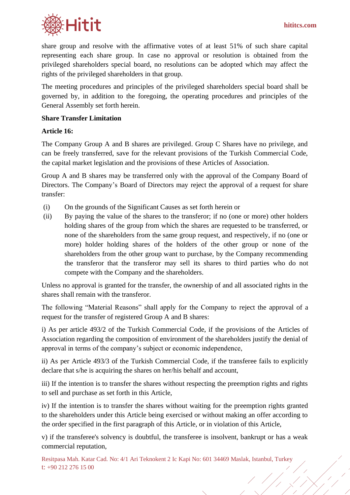

share group and resolve with the affirmative votes of at least 51% of such share capital representing each share group. In case no approval or resolution is obtained from the privileged shareholders special board, no resolutions can be adopted which may affect the rights of the privileged shareholders in that group.

The meeting procedures and principles of the privileged shareholders special board shall be governed by, in addition to the foregoing, the operating procedures and principles of the General Assembly set forth herein.

### **Share Transfer Limitation**

### **Article 16:**

The Company Group A and B shares are privileged. Group C Shares have no privilege, and can be freely transferred, save for the relevant provisions of the Turkish Commercial Code, the capital market legislation and the provisions of these Articles of Association.

Group A and B shares may be transferred only with the approval of the Company Board of Directors. The Company's Board of Directors may reject the approval of a request for share transfer:

- (i) On the grounds of the Significant Causes as set forth herein or
- (ii) By paying the value of the shares to the transferor; if no (one or more) other holders holding shares of the group from which the shares are requested to be transferred, or none of the shareholders from the same group request, and respectively, if no (one or more) holder holding shares of the holders of the other group or none of the shareholders from the other group want to purchase, by the Company recommending the transferor that the transferor may sell its shares to third parties who do not compete with the Company and the shareholders.

Unless no approval is granted for the transfer, the ownership of and all associated rights in the shares shall remain with the transferor.

The following "Material Reasons" shall apply for the Company to reject the approval of a request for the transfer of registered Group A and B shares:

i) As per article 493/2 of the Turkish Commercial Code, if the provisions of the Articles of Association regarding the composition of environment of the shareholders justify the denial of approval in terms of the company's subject or economic independence,

ii) As per Article 493/3 of the Turkish Commercial Code, if the transferee fails to explicitly declare that s/he is acquiring the shares on her/his behalf and account,

iii) If the intention is to transfer the shares without respecting the preemption rights and rights to sell and purchase as set forth in this Article,

iv) If the intention is to transfer the shares without waiting for the preemption rights granted to the shareholders under this Article being exercised or without making an offer according to the order specified in the first paragraph of this Article, or in violation of this Article,

v) if the transferee's solvency is doubtful, the transferee is insolvent, bankrupt or has a weak commercial reputation,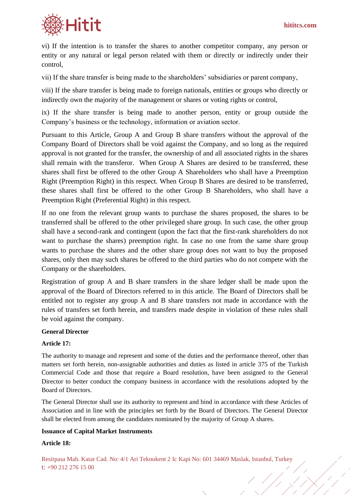

vi) If the intention is to transfer the shares to another competitor company, any person or entity or any natural or legal person related with them or directly or indirectly under their control,

vii) If the share transfer is being made to the shareholders' subsidiaries or parent company,

viii) If the share transfer is being made to foreign nationals, entities or groups who directly or indirectly own the majority of the management or shares or voting rights or control,

ix) If the share transfer is being made to another person, entity or group outside the Company's business or the technology, information or aviation sector.

Pursuant to this Article, Group A and Group B share transfers without the approval of the Company Board of Directors shall be void against the Company, and so long as the required approval is not granted for the transfer, the ownership of and all associated rights in the shares shall remain with the transferor. When Group A Shares are desired to be transferred, these shares shall first be offered to the other Group A Shareholders who shall have a Preemption Right (Preemption Right) in this respect. When Group B Shares are desired to be transferred, these shares shall first be offered to the other Group B Shareholders, who shall have a Preemption Right (Preferential Right) in this respect.

If no one from the relevant group wants to purchase the shares proposed, the shares to be transferred shall be offered to the other privileged share group. In such case, the other group shall have a second-rank and contingent (upon the fact that the first-rank shareholders do not want to purchase the shares) preemption right. In case no one from the same share group wants to purchase the shares and the other share group does not want to buy the proposed shares, only then may such shares be offered to the third parties who do not compete with the Company or the shareholders.

Registration of group A and B share transfers in the share ledger shall be made upon the approval of the Board of Directors referred to in this article. The Board of Directors shall be entitled not to register any group A and B share transfers not made in accordance with the rules of transfers set forth herein, and transfers made despite in violation of these rules shall be void against the company.

#### **General Director**

#### **Article 17:**

The authority to manage and represent and some of the duties and the performance thereof, other than matters set forth herein, non-assignable authorities and duties as listed in article 375 of the Turkish Commercial Code and those that require a Board resolution, have been assigned to the General Director to better conduct the company business in accordance with the resolutions adopted by the Board of Directors.

The General Director shall use its authority to represent and bind in accordance with these Articles of Association and in line with the principles set forth by the Board of Directors. The General Director shall be elected from among the candidates nominated by the majority of Group A shares.

#### **Issuance of Capital Market Instruments**

#### **Article 18:**